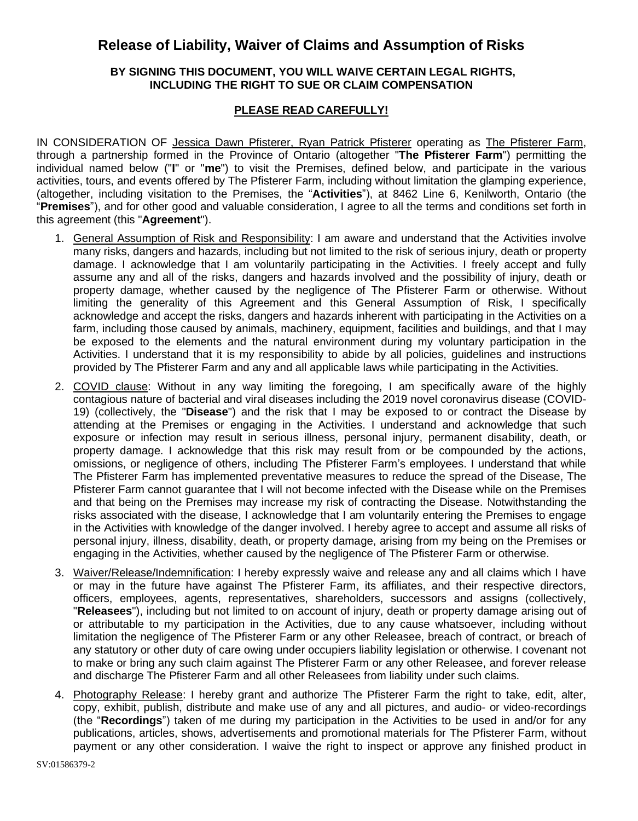## **Release of Liability, Waiver of Claims and Assumption of Risks**

## **BY SIGNING THIS DOCUMENT, YOU WILL WAIVE CERTAIN LEGAL RIGHTS, INCLUDING THE RIGHT TO SUE OR CLAIM COMPENSATION**

## **PLEASE READ CAREFULLY!**

IN CONSIDERATION OF Jessica Dawn Pfisterer, Ryan Patrick Pfisterer operating as The Pfisterer Farm, through a partnership formed in the Province of Ontario (altogether "**The Pfisterer Farm**") permitting the individual named below ("**I**" or "**me**") to visit the Premises, defined below, and participate in the various activities, tours, and events offered by The Pfisterer Farm, including without limitation the glamping experience, (altogether, including visitation to the Premises, the "**Activities**"), at 8462 Line 6, Kenilworth, Ontario (the "**Premises**"), and for other good and valuable consideration, I agree to all the terms and conditions set forth in this agreement (this "**Agreement**").

- 1. General Assumption of Risk and Responsibility: I am aware and understand that the Activities involve many risks, dangers and hazards, including but not limited to the risk of serious injury, death or property damage. I acknowledge that I am voluntarily participating in the Activities. I freely accept and fully assume any and all of the risks, dangers and hazards involved and the possibility of injury, death or property damage, whether caused by the negligence of The Pfisterer Farm or otherwise. Without limiting the generality of this Agreement and this General Assumption of Risk, I specifically acknowledge and accept the risks, dangers and hazards inherent with participating in the Activities on a farm, including those caused by animals, machinery, equipment, facilities and buildings, and that I may be exposed to the elements and the natural environment during my voluntary participation in the Activities. I understand that it is my responsibility to abide by all policies, guidelines and instructions provided by The Pfisterer Farm and any and all applicable laws while participating in the Activities.
- 2. COVID clause: Without in any way limiting the foregoing, I am specifically aware of the highly contagious nature of bacterial and viral diseases including the 2019 novel coronavirus disease (COVID-19) (collectively, the "**Disease**") and the risk that I may be exposed to or contract the Disease by attending at the Premises or engaging in the Activities. I understand and acknowledge that such exposure or infection may result in serious illness, personal injury, permanent disability, death, or property damage. I acknowledge that this risk may result from or be compounded by the actions, omissions, or negligence of others, including The Pfisterer Farm's employees. I understand that while The Pfisterer Farm has implemented preventative measures to reduce the spread of the Disease, The Pfisterer Farm cannot guarantee that I will not become infected with the Disease while on the Premises and that being on the Premises may increase my risk of contracting the Disease. Notwithstanding the risks associated with the disease, I acknowledge that I am voluntarily entering the Premises to engage in the Activities with knowledge of the danger involved. I hereby agree to accept and assume all risks of personal injury, illness, disability, death, or property damage, arising from my being on the Premises or engaging in the Activities, whether caused by the negligence of The Pfisterer Farm or otherwise.
- 3. Waiver/Release/Indemnification: I hereby expressly waive and release any and all claims which I have or may in the future have against The Pfisterer Farm, its affiliates, and their respective directors, officers, employees, agents, representatives, shareholders, successors and assigns (collectively, "**Releasees**"), including but not limited to on account of injury, death or property damage arising out of or attributable to my participation in the Activities, due to any cause whatsoever, including without limitation the negligence of The Pfisterer Farm or any other Releasee, breach of contract, or breach of any statutory or other duty of care owing under occupiers liability legislation or otherwise. I covenant not to make or bring any such claim against The Pfisterer Farm or any other Releasee, and forever release and discharge The Pfisterer Farm and all other Releasees from liability under such claims.
- 4. Photography Release: I hereby grant and authorize The Pfisterer Farm the right to take, edit, alter, copy, exhibit, publish, distribute and make use of any and all pictures, and audio- or video-recordings (the "**Recordings**") taken of me during my participation in the Activities to be used in and/or for any publications, articles, shows, advertisements and promotional materials for The Pfisterer Farm, without payment or any other consideration. I waive the right to inspect or approve any finished product in